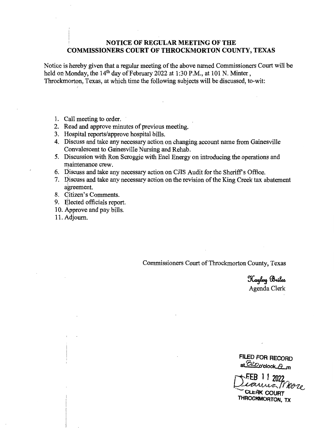### **NOTICE OF REGULAR MEETING OF THE COMMISSIONERS COURT OF THROCKMORTON COUNTY, TEXAS**

Notice is hereby given that a regular meeting of the above named Commissioners Court will be held on Monday, the  $14<sup>th</sup>$  day of February 2022 at 1:30 P.M., at 101 N. Minter, Throckmorton, Texas, at which time the following subjects will be discussed, to-wit:

- 1. Call meeting to order.
- 2. Read and approve minutes of previous meeting.
- 3. Hospital reports/approve hospital bills.
- 4. Discuss and take any necessary action on changing account name from Gainesville Convalescent to Gainesville Nursing and Rehab.
- 5. Discussion with Ron Scroggie with Enel Energy on introducing the operations and maintenance crew.
- 6. Discuss and take any necessary action on CJIS Audit for the Sheriff's Office.
- 7. Discuss and take any necessary action on the revision of the King Creek tax abatement agreement.
- 8. Citizen's Comments.
- 9. Elected officials report.
- 10. Approve and pay bills.
- 11. Adjourn.

Commissioners Court of Throckmorton County, Texas

Hayley Briles Agenda Clerk

**FILED FOR RECORD**  at <sup>*<i>B2Do***'olock** *A*\_m</sup>

**rtFEB 1 1 2022** <sup>~</sup> Sianua More **CLERK COURT THROCIOAORTON, TX**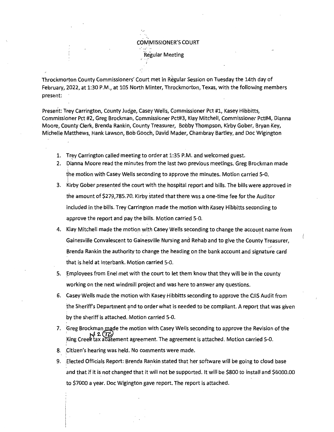COMMISSIONER'S COURT **Regular Meeting** 

Throckmorton County Commissioners' Court met in Regular Session on Tuesday the 14th day of February, 2022, at 1:30 P.M., at 105 North Minter, Throckmorton, Texas, with the following members present:

Present: Trey Carrington, County Judge, Casey Wells, Commissioner Pct #1, Kasey Hibbitts, Commissioner Pct #2, Greg Brockman, Commissioner Pct#3, Klay Mitchell, Commissioner Pct#4, Dianna Moore, County Clerk, Brenda Rankin, County Treasurer, Bobby Thompson, Kirby Gober, Bryan Key, Michelle Matthews, Hank Lawson, Bob Gooch, David Mader, Chambray Bartley, and Doc Wigington

- 1. Trey Carrington called meeting to order at 1:35 P.M. and welcomed guest.
- 2. Dianna Moore read the minutes from the last two previous meetings. Greg Brockman made the motion with Casey Wells seconding to approve the minutes. Motion carried 5-0. I
- 3. Kirby Gober presented the court with the hospital report and bills. The bills were approved in the amount of \$279, 785.70. Kirby stated that there was a one-time fee for the Auditor included in the bills. Trey Carrington made the motion with Kasey Hibbitts seconding to approve the report and pay the bills. Motion carried 5-0.
- 4. Klay Mitchell made the motion with Casey Wells seconding to change the account name from Gainesville Convalescent to Gainesville Nursing and Rehab and to give the County Treasurer, Brenda Rankin the authority to change the heading on the bank account and signature card that is held at Interbank. Motion carried 5-0.
- 5. Employees from Enel met with the court to let them know that they will be in the county working on the next windmill project and was here to answer any questions.
- 6. Casey Wells made the motion with Kasey Hibbitts seconding to approve the CJIS Audit from the Sheriff's Department and to order what is needed to be compliant. A report that was given by the sheriff is attached. Motion carried 5-0.
- 7. Greg Brockman made the motion with Casey Wells seconding to approve the Revision of the ,  $\frac{1}{4}$  2.  $\frac{1}{2}$ .<br>King Creek tax abatement agreement. The agreement is attached. Motion carried 5-0.
- 8. Citizen's hearing was held. No comments were made.
- 9. Elected Officials Report: Brenda Rankin stated that her software will be going to cloud base and that if it is not changed that it will not be supported. It will be \$800 to install and \$6000.00 to \$7000 a year. Doc Wigington gave report. The report is attached.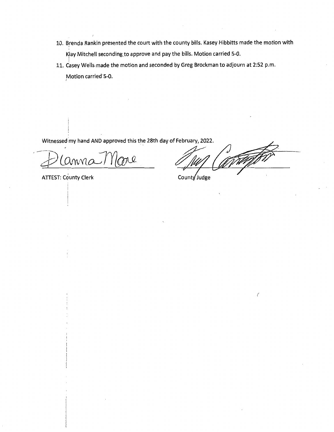- 10. Brenda Rankin presented the court with the county bills. Kasey Hibbitts made the motion with I lay Mitchell seconding to approve and pay the bills. Motion carried 5-0.
- 11.  $\stackrel{1}{\text{Case}}$ y Wells made the motion and seconded by Greg Brockman to adjourn at 2:52 p.m. Motion carried 5-0.

Witnessed my hand AND approved this the 28th day of February, 2022.

' .anna More

ATTEST: County Clerk

 $\bigg($ 

County Judge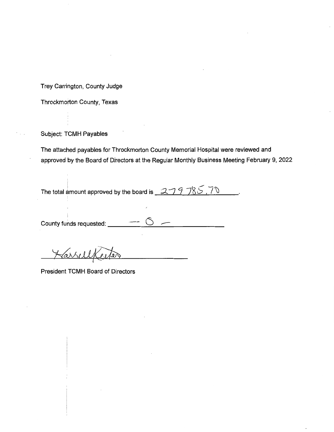Trey Carrington, County Judge

Throckmorton County, Texas

Subject: TCMH Payables

The attached payables for Throckmorton County Memorial Hospital were reviewed and approved by the Board of Directors at the Regular Monthly Business Meeting February 9, 2022

The total amount approved by the board is \_ \_<del>2 \_ 7 \_ 9</del> \_ 7\S \_ , 7  $\backslash$ 

County funds requested:

President TCMH Board of Directors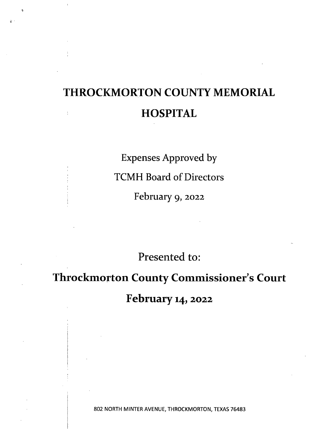# **THROCKMORTON COUNTY MEMORIAL HOSPITAL**   $\frac{1}{k}$

 $\mathbb{R}^{d+1}$ 

Expenses Approved by TCMH Board of Directors February 9, 2022

Presented to:

**Throckmorton County Commissioner's Court** 

**February14,2022** 

802 NORTH MINTER AVENUE, THROCKMORTON, TEXAS 76483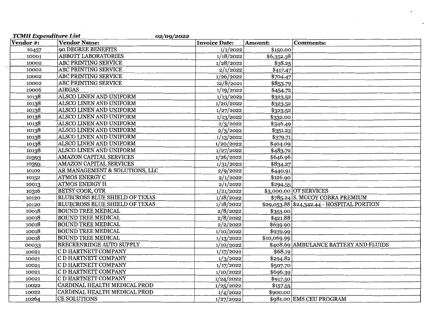| <b>TCMH</b> Expenditure List | 02/09/2022                            |                      |                     |                                            |
|------------------------------|---------------------------------------|----------------------|---------------------|--------------------------------------------|
| Vendor #:                    | <b>Vendor Name:</b>                   | <b>Invoice Date:</b> | Amount:             | <b>Comments:</b>                           |
| 10457                        | 90 DEGREE BENEFITS                    | 1/1/2022             | \$150.00            |                                            |
| 10001                        | <b>ABBOTT LABORATORIES</b>            | 1/18/2022            | \$6,352.38          |                                            |
| 10002                        | <b>ABC PRINTING SERVICE</b>           | 1/28/2022            | $\overline{$}38.25$ |                                            |
| 10002                        | ABC PRINTING SERVICE                  | 2/1/2022             | \$417.47            |                                            |
| 10002                        | ABC PRINTING SERVICE                  | 1/26/2022            | \$704.47            |                                            |
| 10002                        | ABC PRINTING SERVICE                  | 12/8/2021            | \$853.79            |                                            |
| 10006                        | <b>AIRGAS</b>                         | 1/19/2022            | \$454.72            |                                            |
| 10138                        | ALSCO LINEN AND UNIFORM               | 1/13/2022            | \$323.52            |                                            |
| 10138                        | ALSCO LINEN AND UNIFORM               | 1/20/2022            | \$323.52            |                                            |
| 10138                        | ALSCO LINEN AND UNIFORM               | 1/27/2022            | \$323.52            |                                            |
| 10138                        | ALSCO LINEN AND UNIFORM               | 1/13/2022            | \$332.00            |                                            |
| 10138                        | ALSCO LINEN AND UNIFORM               | 2/3/2022             | \$346.49            |                                            |
| 10138                        | ALSCO LINEN AND UNIFORM               | 2/3/2022             | \$351.23            |                                            |
| 10138                        | ALSCO LINEN AND UNIFORM               | 1/13/2022            | \$379.71            |                                            |
| 10138                        | ALSCO LINEN AND UNIFORM               | 1/20/2022            | \$404.09            |                                            |
| 10138                        | ALSCO LINEN AND UNIFORM               | 1/27/2022            | \$483.72            |                                            |
| 10393                        | AMAZON CAPITAL SERVICES               | 1/26/2022            | \$646.96            | $\sim$                                     |
| 10393                        | AMAZON CAPITAL SERVICES               | 1/31/2022            | \$834.27            |                                            |
| 10102                        | AR MANAGEMENT & SOLUTIONS, LLC        | 2/9/2022             | \$440.91            |                                            |
| 10152                        | ATMOS ENERGY C                        | 2/1/2022             | \$126.90            |                                            |
| 10013                        | <b>ATMOS ENERGY H</b>                 | 2/1/2022             | \$294.55            |                                            |
| 10316                        | <b>BETSY COOK, OTR</b>                | 1/21/2022            |                     | \$3,000.00 OT SERVICES                     |
| 10120                        | <b>BLUECROSS BLUE SHIELD OF TEXAS</b> | 1/18/2022            |                     | \$785.24 S. MCCOY COBRA PREMIUM            |
| 10120                        | <b>BLUECROSS BLUE SHIELD OF TEXAS</b> | 1/18/2022            |                     | \$29,053.88 \$24,342.44 - HOSPITAL PORTION |
| 10018                        | <b>BOUND TREE MEDICAL</b>             | 2/8/2022             | \$353.00            |                                            |
| 10018                        | <b>BOUND TREE MEDICAL</b>             | 2/8/2022             | \$421.88            |                                            |
| 10018                        | <b>BOUND TREE MEDICAL</b>             | 2/2/2022             | \$639.90            |                                            |
| 10018                        | <b>BOUND TREE MEDICAL</b>             | 1/10/2022            | \$939.99            |                                            |
| 10018                        | <b>BOUND TREE MEDICAL</b>             | 1/13/2022            | \$10,069.99         |                                            |
| 00033                        | BRECKENRIDGE AUTO SUPPLY              | 1/10/2022            |                     | \$408.69 AMBULANCE BATTERY AND FLUIDS      |
| 10021                        | C D HARTNETT COMPANY                  | 1/17/2022            | \$68.19             |                                            |
| 10021                        | C D HARTNETT COMPANY                  | 1/3/2022             | \$294.82            |                                            |
| 10021                        | C D HARTNETT COMPANY                  | 1/17/2022            | \$507.70            |                                            |
| 10021                        | C D HARTNETT COMPANY                  | 1/10/2022            | \$696.39            |                                            |
| 10021                        | C D HARTNETT COMPANY                  | 1/24/2022            | \$917.50            |                                            |
| 10022                        | CARDINAL HEALTH MEDICAL PROD          | 1/25/2022            | \$157.55            |                                            |
| 10022                        | CARDINAL HEALTH MEDICAL PROD          | 1/4/2022             | \$900.00            |                                            |
| 10264                        | <b>CE SOLUTIONS</b>                   | 1/27/2022            |                     | \$981.00 EMS CEU PROGRAM                   |

 $\mathcal{L}^{\text{max}}_{\text{max}}$  and  $\mathcal{L}^{\text{max}}_{\text{max}}$ 

 $\sim 10^{-1}$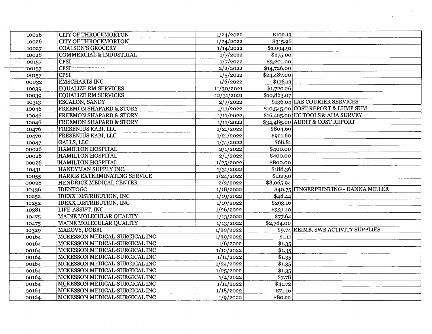| 10026 | <b>CITY OF THROCKMORTON</b>        | 1/24/2022  | \$102.13                              |
|-------|------------------------------------|------------|---------------------------------------|
| 10026 | <b>CITY OF THROCKMORTON</b>        | 1/24/2022  | \$315.96                              |
| 10027 | <b>COALSON'S GROCERY</b>           | 1/14/2022  | \$1,094.91                            |
| 10028 | <b>COMMERCIAL &amp; INDUSTRIAL</b> | 1/7/2022   | \$275.00                              |
| 00157 | <b>CPSI</b>                        | 1/7/2022   | \$3,201.00                            |
| 00157 | CPSI                               | 2/2/2022   | \$14,726.00                           |
| 00157 | <b>CPSI</b>                        | 1/5/2022   | \$24,487.00                           |
| 00032 | <b>EMSCHARTS INC</b>               | 1/6/2022   | \$176.13                              |
| 10039 | <b>EQUALIZE RM SERVICES</b>        | 11/30/2021 | \$1,720.26                            |
| 10039 | <b>EQUALIZE RM SERVICES</b>        | 12/31/2021 | \$10,863.07                           |
| 10313 | <b>ESCALON, SANDY</b>              | 2/7/2022   | \$136.04 LAB COURIER SERVICES         |
| 10046 | <b>FREEMON SHAPARD &amp; STORY</b> | 1/11/2022  | \$10,545.00 COST REPORT & LUMP SUM    |
| 10046 | <b>FREEMON SHAPARD &amp; STORY</b> | 1/11/2022  | \$16,425.00 UC TOOLS & AHA SURVEY     |
| 10046 | <b>FREEMON SHAPARD &amp; STORY</b> | 1/11/2022  | \$34,485.00 AUDIT & COST REPORT       |
| 10476 | FRESENIUS KABI, LLC                | 1/21/2022  | \$804.69                              |
| 10476 | FRESENIUS KABI, LLC                | 1/21/2022  | \$921.60                              |
| 10047 | GALLS, LLC                         | 1/31/2022  | \$68.81                               |
| 00026 | <b>HAMILTON HOSPITAL</b>           | 2/1/2022   | \$400.00                              |
| 00026 | <b>HAMILTON HOSPITAL</b>           | 2/1/2022   | \$400.00                              |
| 00026 | <b>HAMILTON HOSPITAL</b>           | 1/25/2022  | \$800.00                              |
| 10431 | HANDYMAN SUPPLY INC.               | 1/31/2022  | \$188.36                              |
| 10055 | HARRIS EXTERMINATING SERVICE       | 1/24/2022  | \$112.50                              |
| 00028 | HENDRICK MEDICAL CENTER            | 2/2/2022   | \$8,065.94                            |
| 10436 | <b>IDENTOGO</b>                    | 1/18/2022  | \$40.75 FINGERPRINTING - DANNA MILLER |
| 10252 | <b>IDEXX DISTRIBUTION, INC</b>     | 1/19/2022  | \$48.44                               |
| 10252 | <b>IDEXX DISTRIBUTION, INC</b>     | 1/19/2022  | \$293.16                              |
| 10381 | LIFE-ASSIST, INC.                  | 1/26/2022  | \$331.40                              |
| 10475 | <b>MAINE MOLECULAR QUALITY</b>     | 1/13/2022  | \$77.64                               |
| 10475 | MAINE MOLECULAR QUALITY            | 1/13/2022  | \$2,784.00                            |
| 10329 | MAKOVY, DOBBI                      | 1/20/2022  | \$9.74 REIMB. SWB ACTIVITY SUPPLIES   |
| 00164 | MCKESSON MEDICAL-SURGICAL INC      | 1/30/2022  | \$1.11                                |
| 00164 | MCKESSON MEDICAL-SURGICAL INC      | 1/6/2022   | \$1.35                                |
| 00164 | MCKESSON MEDICAL-SURGICAL INC      | 1/10/2022  | \$1.35                                |
| 00164 | MCKESSON MEDICAL-SURGICAL INC      | 1/11/2022  | \$1.35                                |
| 00164 | MCKESSON MEDICAL-SURGICAL INC      | 1/24/2022  | \$1.35                                |
| 00164 | MCKESSON MEDICAL-SURGICAL INC      | 1/25/2022  | \$1.35                                |
| 00164 | MCKESSON MEDICAL-SURGICAL INC      | 1/4/2022   | \$7.78                                |
| 00164 | MCKESSON MEDICAL-SURGICAL INC      | 1/11/2022  | \$41.72                               |
| 00164 | MCKESSON MEDICAL-SURGICAL INC      | 1/18/2022  | \$71.16                               |
| 00164 | MCKESSON MEDICAL-SURGICAL INC      | 1/9/2022   | \$80.22                               |
|       |                                    |            |                                       |

 $\sim$ 

 $\mathcal{L}_{\text{max}}$ 

 $\rightarrow$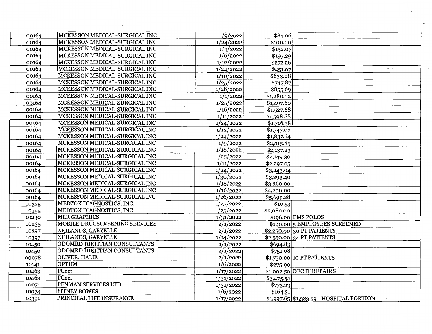| 00164 | MCKESSON MEDICAL-SURGICAL INC | 1/9/2022  | \$84.96    |                                             |
|-------|-------------------------------|-----------|------------|---------------------------------------------|
| 00164 | MCKESSON MEDICAL-SURGICAL INC | 1/24/2022 | \$100.00   |                                             |
| 00164 | MCKESSON MEDICAL-SURGICAL INC | 1/4/2022  | \$152.07   |                                             |
| 00164 | MCKESSON MEDICAL-SURGICAL INC | 1/6/2022  | \$197.29   |                                             |
| 00164 | MCKESSON MEDICAL-SURGICAL INC | 1/12/2022 | \$272.26   |                                             |
| 00164 | MCKESSON MEDICAL-SURGICAL INC | 1/24/2022 | \$451.07   | $\cdots \cdots \cdots \cdots \cdots \cdots$ |
| 00164 | MCKESSON MEDICAL-SURGICAL INC | 1/10/2022 | \$633.08   |                                             |
| 00164 | MCKESSON MEDICAL-SURGICAL INC | 1/25/2022 | \$747.87   |                                             |
| 00164 | MCKESSON MEDICAL-SURGICAL INC | 1/28/2022 | \$855.69   |                                             |
| 00164 | MCKESSON MEDICAL-SURGICAL INC | 1/1/2022  | \$1,280.32 |                                             |
| 00164 | MCKESSON MEDICAL-SURGICAL INC | 1/25/2022 | \$1,497.60 |                                             |
| 00164 | MCKESSON MEDICAL-SURGICAL INC | 1/16/2022 | \$1,527.68 |                                             |
| 00164 | MCKESSON MEDICAL-SURGICAL INC | 1/11/2022 | \$1,598.88 |                                             |
| 00164 | MCKESSON MEDICAL-SURGICAL INC | 1/24/2022 | \$1,716.58 |                                             |
| 00164 | MCKESSON MEDICAL-SURGICAL INC | 1/12/2022 | \$1,747.00 |                                             |
| 00164 | MCKESSON MEDICAL-SURGICAL INC | 1/24/2022 | \$1,837.64 |                                             |
| 00164 | MCKESSON MEDICAL-SURGICAL INC | 1/9/2022  | \$2,015.85 |                                             |
| 00164 | MCKESSON MEDICAL-SURGICAL INC | 1/18/2022 | \$2,137.23 |                                             |
| 00164 | MCKESSON MEDICAL-SURGICAL INC | 1/25/2022 | \$2,149.30 |                                             |
| 00164 | MCKESSON MEDICAL-SURGICAL INC | 1/11/2022 | \$2,297.05 |                                             |
| 00164 | MCKESSON MEDICAL-SURGICAL INC | 1/24/2022 | \$3,243.04 |                                             |
| 00164 | MCKESSON MEDICAL-SURGICAL INC | 1/30/2022 | \$3,293.40 |                                             |
| 00164 | MCKESSON MEDICAL-SURGICAL INC | 1/18/2022 | \$3,360.00 |                                             |
| 00164 | MCKESSON MEDICAL-SURGICAL INC | 1/16/2022 | \$4,200.00 |                                             |
| 00164 | MCKESSON MEDICAL-SURGICAL INC | 1/26/2022 | \$5,699.28 |                                             |
| 10325 | MEDTOX DIAGNOSTICS, INC.      | 1/25/2022 | \$10.53    |                                             |
| 10325 | MEDTOX DIAGNOSTICS, INC.      | 1/25/2022 | \$2,080.00 |                                             |
| 10230 | <b>MLR GRAPHICS</b>           | 1/31/2022 |            | \$196.00 EMS POLOS                          |
| 10235 | MOBILE DRUGSCREENING SERVICES | 2/1/2022  |            | \$190.00 5 EMPLOYEES SCREENED               |
| 10397 | NEILANDS, GARYELLE            | 2/1/2022  |            | $$2,250.00$ 30 PT PATIENTS                  |
| 10397 | NEILANDS, GARYELLE            | 1/14/2022 |            | $$2,550.00$ 34 PT PATIENTS                  |
| 10450 | ODOMRD DIETITIAN CONSULTANTS  | 1/1/2022  | \$694.83   |                                             |
| 10450 | ODOMRD DIETITIAN CONSULTANTS  | 2/1/2022  | \$751.08   |                                             |
| 00078 | <b>OLIVER, HALIE</b>          | 2/1/2022  |            | \$1,750.00 10 PT PATIENTS                   |
| 10141 | <b>OPTUM</b>                  | 1/6/2022  | \$275.00   |                                             |
| 10463 | PCnet                         | 1/17/2022 |            | \$1,002.50 DEC IT REPAIRS                   |
| 10463 | PCnet                         | 1/31/2022 | \$3,475.52 |                                             |
| 10071 | PENMAN SERVICES LTD           | 1/31/2022 | \$773.23   |                                             |
| 10074 | PITNEY BOWES                  | 1/6/2022  | \$164.31   |                                             |
| 10391 | PRINCIPAL LIFE INSURANCE      | 1/17/2022 |            | $$1,997.65$ $$1,383.59$ - HOSPITAL PORTION  |

 $\sim 10^{-11}$ 

 $\bar{z}$ 

 $\bullet$ 

 $\bullet$ 

 $\sim$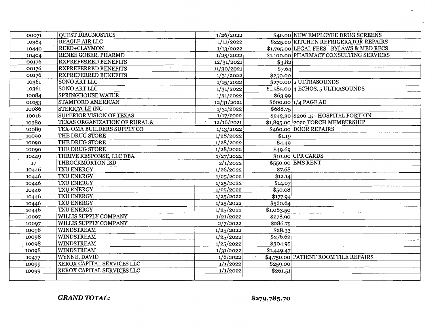| 00071 | <b>QUEST DIAGNOSTICS</b>        | 1/26/2022  |            | \$40.00 NEW EMPLOYEE DRUG SCREENS         |
|-------|---------------------------------|------------|------------|-------------------------------------------|
| 10384 | <b>REAGLE AIR LLC</b>           | 1/11/2022  |            | \$225.00 KITCHEN REFRIGERATOR REPAIRS     |
| 10440 | REED+CLAYMON                    | 1/13/2022  |            | \$1,795.00 LEGAL FEES - BYLAWS & MED RECS |
| 10404 | RENEE GOBER, PHARMD             | 1/25/2022  |            | \$1,100.00 PHARMACY CONSULTING SERVICES   |
| 00176 | <b>RXPREFERRED BENEFITS</b>     | 12/31/2021 | \$3.82     |                                           |
| 00176 | <b>RXPREFERRED BENEFITS</b>     | 11/30/2021 | \$7.64     |                                           |
| 00176 | <b>RXPREFERRED BENEFITS</b>     | 1/31/2022  | \$250.00   |                                           |
| 10361 | <b>SONO ART LLC</b>             | 1/15/2022  |            | \$270.00 2 ULTRASOUNDS                    |
| 10361 | <b>SONO ART LLC</b>             | 1/31/2022  |            | $$1,585.00$ 4 ECHOS, 5 ULTRASOUNDS        |
| 10084 | <b>SPRINGHOUSE WATER</b>        | 1/31/2022  | \$63.99    |                                           |
| 00153 | <b>STAMFORD AMERICAN</b>        | 12/31/2021 |            | \$600.00 1/4 PAGE AD                      |
| 10086 | <b>STERICYCLE INC</b>           | 1/31/2022  | \$688.75   |                                           |
| 10016 | <b>SUPERIOR VISION OF TEXAS</b> | 1/17/2022  |            | \$242.30 \$206.15 - HOSPITAL PORTION      |
| 10380 | TEXAS ORGANIZATION OF RURAL &   | 12/16/2021 |            | \$1,895.00 2022 TORCH MEMBERSHIP          |
| 10089 | TEX-OMA BUILDERS SUPPLY CO      | 1/13/2022  |            | \$460.00 DOOR REPAIRS                     |
| 10090 | THE DRUG STORE                  | 1/28/2022  | \$1.19     |                                           |
| 10090 | THE DRUG STORE                  | 1/28/2022  | \$4.49     |                                           |
| 10090 | THE DRUG STORE                  | 1/28/2022  | \$49.69    |                                           |
| 10449 | THRIVE RESPONSE, LLC DBA        | 1/27/2022  |            | \$10.00 CPR CARDS                         |
| 17    | THROCKMORTON ISD                | 2/1/2022   |            | \$550.00 EMS RENT                         |
| 10446 | <b>TXU ENERGY</b>               | 1/26/2022  | \$7.68     |                                           |
| 10446 | <b>TXU ENERGY</b>               | 1/25/2022  | \$12.14    |                                           |
| 10446 | <b>TXU ENERGY</b>               | 1/25/2022  | \$14.07    |                                           |
| 10446 | TXU ENERGY                      | 1/25/2022  | \$50.08    |                                           |
| 10446 | <b>TXU ENERGY</b>               | 1/25/2022  | \$177.94   |                                           |
| 10446 | TXU ENERGY                      | 1/25/2022  | \$560.64   |                                           |
| 10446 | <b>TXU ENERGY</b>               | 1/25/2022  | \$1,083.50 |                                           |
| 10097 | WILLIS SUPPLY COMPANY           | 1/21/2022  | \$278.90   |                                           |
| 10097 | WILLIS SUPPLY COMPANY           | 2/7/2022   | \$286.75   |                                           |
| 10098 | WINDSTREAM                      | 1/25/2022  | \$28.33    |                                           |
| 10098 | WINDSTREAM                      | 1/25/2022  | \$276.62   |                                           |
| 10098 | WINDSTREAM                      | 1/25/2022  | \$304.95   |                                           |
| 10098 | <b>WINDSTREAM</b>               | 1/31/2022  | \$1,449.47 |                                           |
| 10477 | WYNNE, DAVID                    | 1/6/2022   |            | \$4,750.00 PATIENT ROOM TILE REPAIRS      |
| 10099 | XEROX CAPITAL SERVICES LLC      | 1/1/2022   | \$259.00   |                                           |
| 10099 | XEROX CAPITAL SERVICES LLC      | 1/1/2022   | \$261.51   |                                           |
|       |                                 |            |            |                                           |

*GRAND TOTAL:*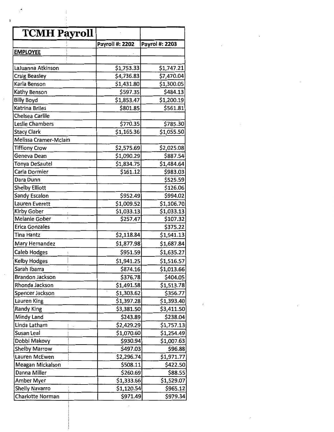| <b>TCMH Payroll</b>                 |                        |                |
|-------------------------------------|------------------------|----------------|
|                                     | <b>Payroll #: 2202</b> | Payrol #: 2203 |
| <b>EMPLOYEE</b>                     |                        |                |
|                                     |                        |                |
| LaJuanna Atkinson                   | \$1,753.33             | \$1,747.21     |
| <b>Craig Beasley</b>                | \$4,736.83             | \$7,470.04     |
| Karla Benson                        | \$1,431.80             | \$1,300.05     |
| Kathy Benson                        | \$597.35               | \$484.13       |
| <b>Billy Boyd</b>                   | \$1,853.47             | \$1,200.19     |
| Katrina Briles                      | \$801.85               | \$561.81       |
| Chelsea Carlile                     |                        |                |
| Leslie Chambers                     | \$770.35               | \$785.30       |
| Stacy Clark                         | \$1,165.36             | \$1,055.50     |
| Melissa Cramer-Mclain               |                        |                |
|                                     | \$2,575.69             | \$2,025.08     |
| <b>Tiffiony Crow</b><br>Geneva Dean |                        | \$887.54       |
|                                     | \$1,090.29             |                |
| <b>Tonya DeSautel</b>               | \$1,834.75             | \$1,484.64     |
| Carla Dormier                       | \$161.12               | \$983.03       |
| Dara Dunn                           |                        | \$525.59       |
| <b>Shelby Elliott</b>               |                        | \$126.06       |
| Sandy Escalon                       | \$952.49               | \$994.02       |
| Lauren Everett                      | \$1,009.52             | \$1,106.70     |
| Kirby Gober                         | \$1,033.13             | \$1,033.13     |
| Melanie Gober                       | \$257.47               | \$107.32       |
| Erica Gonzales                      |                        | \$375.22       |
| <b>Tina Hantz</b>                   | \$2,118.84             | \$1,941.13     |
| Mary Hernandez                      | \$1,877.98             | \$1,687.84     |
| <b>Caleb Hodges</b>                 | \$951.59               | \$1,635.27     |
| <b>Kelby Hodges</b>                 | \$1,941.25             | \$1,516.57     |
| Sarah Ibarra                        | \$874.16               | \$1,013.66     |
| Brandon Jackson                     | \$376.78               | \$404.05       |
| Rhonda Jackson                      | \$1,491.58             | \$1,513.78     |
| Spencer Jackson                     | \$1,303.62             | \$356.77       |
| Lauren King                         | \$1,397.28             | \$1,393.40     |
| <b>Randy King</b>                   | \$3,381.50             | \$3,411.50     |
| Mindy Land                          | \$243.89               | \$238.04       |
| Linda Latham                        | \$2,429.29             | \$1,757.13     |
| Susan Leal                          | \$1,070.60             | \$1,254.49     |
|                                     |                        | \$1,007.63     |
| Dobbi Makovy                        | \$930.94               |                |
| <b>Shelby Marrow</b>                | \$497.03               | \$96.88        |
| Lauren McEwen                       | \$2,296.74             | \$1,971.77     |
| Meagan Mickalson                    | \$508.11               | \$422.50       |
| Danna Miller                        | \$260.69               | \$88.55        |
| Amber Myer                          | \$1,333.66             | \$1,529.07     |
| <b>Shelly Navarro</b>               | \$1,120.54             | \$965.12       |
| Charlotte Norman                    | \$971.49               | \$979.34       |

 $\mathcal{L}^{\text{max}}_{\text{max}}$  and  $\mathcal{L}^{\text{max}}_{\text{max}}$ 

 $\ddot{\phantom{0}}$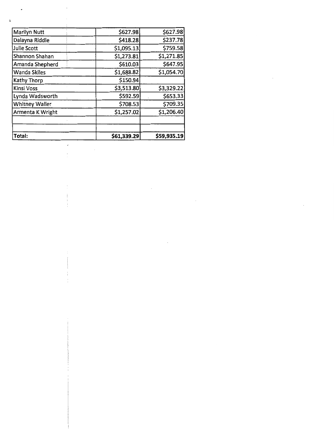| Marilyn Nutt          | \$627.98    | \$627.98    |
|-----------------------|-------------|-------------|
| Dalayna Riddle        | \$418.28    | \$237.78    |
| Julie Scott           | \$1,095.13  | \$759.58    |
| Shannon Shahan        | \$1,273.81  | \$1,271.85  |
| Amanda Shepherd       | \$610.03    | \$647.95    |
| <b>Wanda Skiles</b>   | \$1,688.82  | \$1,054.70  |
| Kathy Thorp           | \$150.94    |             |
| Kinsi Voss            | \$3,513.80  | \$3,329.22  |
| Lynda Wadsworth       | \$592.59    | \$653.33    |
| <b>Whitney Waller</b> | \$708.53    | \$709.35    |
| Armenta K Wright      | \$1,257.02  | \$1,206.40  |
|                       |             |             |
|                       |             |             |
| Total:                | \$61,339.29 | \$59,935.19 |

 $\label{eq:2.1} \frac{1}{\sqrt{2}}\int_{\mathbb{R}^3}\frac{1}{\sqrt{2}}\left(\frac{1}{\sqrt{2}}\right)^2\frac{1}{\sqrt{2}}\left(\frac{1}{\sqrt{2}}\right)^2\frac{1}{\sqrt{2}}\left(\frac{1}{\sqrt{2}}\right)^2.$ 

 $\mathcal{L}^{\text{max}}_{\text{max}}$ 

 $\mathcal{L}^{\text{max}}_{\text{max}}$ 

 $\begin{array}{cccccccccc} \multicolumn{3}{c}{} & \multicolumn{3}{c}{} & \multicolumn{3}{c}{} & \multicolumn{3}{c}{} & \multicolumn{3}{c}{} & \multicolumn{3}{c}{} & \multicolumn{3}{c}{} & \multicolumn{3}{c}{} & \multicolumn{3}{c}{} & \multicolumn{3}{c}{} & \multicolumn{3}{c}{} & \multicolumn{3}{c}{} & \multicolumn{3}{c}{} & \multicolumn{3}{c}{} & \multicolumn{3}{c}{} & \multicolumn{3}{c}{} & \multicolumn{3}{c}{} & \multicolumn{3}{c}{} & \multicolumn{3}{c}{} & \mult$ 

Ť.

 $\mathcal{L}^{\text{max}}_{\text{max}}$ 

 $\ddot{\phantom{a}}$ 

 $\frac{1}{2}$ 

Ç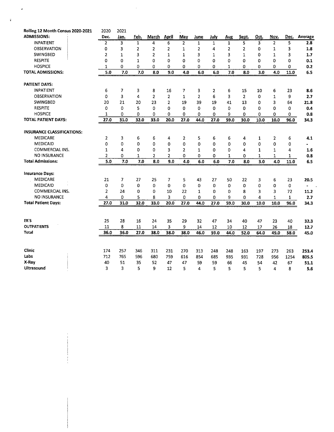| Rolling 12 Month Census 2020-2021 | 2020           | 2021           |              |                |                |                |                |                |              |                |              |                |              |                |
|-----------------------------------|----------------|----------------|--------------|----------------|----------------|----------------|----------------|----------------|--------------|----------------|--------------|----------------|--------------|----------------|
| <b>ADMISSIONS:</b>                | Dec.           | Jan.           | Feb.         | March          | <u>April</u>   | May            | June           | July           | Aug          | Sept.          | Oct.         | Nov.           | Dec.         | Average        |
| <b>INPATIENT</b>                  | $\overline{2}$ | 3              | $\mathbf{1}$ | 4              | 6              | $\overline{2}$ | $\mathbf{1}$   | 1              | $\mathbf{1}$ | 5              | 3            | $\overline{2}$ | 5            | 2.8            |
| <b>OBSERVATION</b>                | 0              | 3              | 2            | 2              | 2              | $\mathbf{1}$   | $\overline{2}$ | 4              | 2            | 2              | 0            | $\mathbf{1}$   | 3            | 1.8            |
| <b>SWINGBED</b>                   | 2              | $\mathbf{1}$   | 3            | $\overline{2}$ | $\mathbf{1}$   | $\mathbf{1}$   | 3              | 1              | 3            | $\mathbf{1}$   | 0            | $\mathbf{1}$   | 3            | 1.7            |
| <b>RESPITE</b>                    | 0              | 0              | $\mathbf{1}$ | $\Omega$       | 0              | $\Omega$       | $\Omega$       | 0              | 0            | 0              | 0            | 0              | 0            | 0.1            |
| <b>HOSPICE</b>                    | $\mathbf{1}$   | 0              | 0            | 0              | 0              | 0              | 0              | $\Omega$       | $\mathbf{1}$ | 0              | 0            | 0              | 0            | 0.2            |
| <b>TOTAL ADMISSIONS:</b>          | 5.0            | 7.0            | 7.0          | 8.0            | 9.0            | 4.0            | 6.0            | 6.0            | 7.0          | 8.0            | 3.0          | 4.0            | 11.0         | 6.5            |
| <b>PATIENT DAYS:</b>              |                |                |              |                |                |                |                |                |              |                |              |                |              |                |
| <b>INPATIENT</b>                  | 6              | 7              | 3            | 8              | 16             | 7              | з              | $\overline{2}$ | 6            | 15             | 10           | 6              | 23           | 8.6            |
| OBSERVATION                       | 0              | 3              | 4            | $\overline{2}$ | $\overline{2}$ | $\mathbf{1}$   | $\overline{2}$ | 6              | 3            | $\overline{2}$ | 0            | $\mathbf{1}$   | 9            | 2.7            |
| SWINGBED                          | 20             | 21             | 20           | 23             | 2              | 19             | 39             | 19             | 41           | 13             | 0            | 3              | 64           | 21.8           |
| <b>RESPITE</b>                    | 0              | $\Omega$       | 5            | 0              | 0              | $\Omega$       | $\Omega$       | $\Omega$       | 0            | 0              | 0            | 0              | 0            | 0.4            |
| <b>HOSPICE</b>                    | 1              | 0              | 0            | 0              | 0              | 0              | 0              | 0              | 9            | 0              | 0            | 0              | 0            | 0.8            |
| <b>TOTAL PATIENT DAYS:</b>        | 27.0           | 31.0           | 32.0         | 33.0           | 20.0           | 27.0           | 44.0           | 27.0           | 59.0         | 30.0           | 10.0         | 10.0           | 96.0         | 34.3           |
|                                   |                |                |              |                |                |                |                |                |              |                |              |                |              |                |
| <b>INSURANCE CLASSIFICATIONS:</b> |                |                |              |                |                |                |                |                |              |                |              |                |              |                |
| <b>MEDICARE</b>                   | $\overline{2}$ | 3              | 6            | 6              | 4              | 2              | 5              | 6              | 6            | 4              | 1            | 2              | 6            | 4.1            |
| <b>MEDICAID</b>                   | 0              | $\mathbf 0$    | 0            | 0              | 0              | 0              | 0              | $\Omega$       | 0            | 0              | 0            | 0              | 0            |                |
| <b>COMMERCIAL INS.</b>            | 1              | 4              | 0            | 0              | 3              | $\overline{2}$ | $\mathbf{1}$   | 0              | 0            | 4              | $\mathbf{1}$ | $\mathbf{1}$   | 4            | 1.6            |
| <b>NO INSURANCE</b>               | $\overline{2}$ | 0              | 1            | 2              | 2              | 0              | 0              | 0              | $\mathbf{1}$ | 0              | 1            | 1              | $\mathbf{1}$ | 0.8            |
| <b>Total Admissions:</b>          | 5.0            | 7.0            | 7.0          | 8.0            | 9.0            | 4.0            | 6.0            | 6.0            | 7.0          | 8.0            | 3.0          | 4.0            | 11.0         | 6.5            |
| <b>Insurance Days:</b>            |                |                |              |                |                |                |                |                |              |                |              |                |              |                |
| <b>MEDICARE</b>                   | 21             | $\overline{7}$ | 27           | 25             | 7              | 5              | 43             | 27             | 50           | 22             | 3            | 6              | 23           | 20.5           |
| <b>MEDICAID</b>                   | 0              | $\Omega$       | 0            | 0              | 0              | 0              | 0              | $\Omega$       | 0            | 0              | 0            | 0              | 0            | $\blacksquare$ |
| COMMERCIAL INS.                   | $\overline{2}$ | 24             | 0            | 0              | 10             | 22             | 1              | 0              | 0            | 8              | 3            | 3              | 72           | 11.2           |
| <b>NO INSURANCE</b>               | $\overline{4}$ | $\Omega$       | 5            | 8              | 3              | 0              | 0              | $\Omega$       | 9            | $\mathbf 0$    | 4            | $\mathbf{1}$   | 1            | 2.7            |
| <b>Total Patient Days:</b>        | 27.0           | 31.0           | 32.0         | 33.0           | 20.0           | 27.0           | 44.0           | 27.0           | 59.0         | 30.0           | 10.0         | 10.0           | 96.0         | 34.3           |
|                                   |                |                |              |                |                |                |                |                |              |                |              |                |              |                |
| ER'S                              | 25             | 28             | 16           | 24             | 35             | 29             | 32             | 47             | 34           | 40             | 47           | 23             | 40           | 32.3           |
| <b>OUTPATIENTS</b>                | 11             | 8              | 11           | 14             | 3              | 9              | 14             | 12             | 10           | 12             | 17           | 26             | 18           | 12.7           |
| Total                             | 36.0           | 36.0           | 27.0         | 38.0           | 38.0           | 38.0           | 46.0           | 59.0           | 44.0         | 52.0           | 64.0         | 49.0           | 58.0         | 45.0           |
|                                   |                |                |              |                |                |                |                |                |              |                |              |                |              |                |
| Clinic                            | 174            | 257            | 346          | 311            | 231            | 270            | 313            | 248            | 248          | 163            | 197          | 273            | 263          | 253.4          |
| Labs                              | 712            | 765            | 596          | 680            | 759            | 616            | 854            | 685            | 935          | 931            | 728          | 956            | 1254         | 805.5          |
| X-Ray                             | 40             | 51             | 35           | 52             | 47             | 47             | 59             | 59             | 66           | 45             | 54           | 42             | 67           | 51.1           |
| Ultrasound                        | 3              | 3              | 5            | 9              | 12             | 5              | 4              | 5              | 5            | 5              | 5            | 4              | 8            | 5.6            |

 $\label{eq:2} \frac{1}{2} \sum_{i=1}^n \frac{1}{2} \sum_{j=1}^n \frac{1}{2} \sum_{j=1}^n \frac{1}{2} \sum_{j=1}^n \frac{1}{2} \sum_{j=1}^n \frac{1}{2} \sum_{j=1}^n \frac{1}{2} \sum_{j=1}^n \frac{1}{2} \sum_{j=1}^n \frac{1}{2} \sum_{j=1}^n \frac{1}{2} \sum_{j=1}^n \frac{1}{2} \sum_{j=1}^n \frac{1}{2} \sum_{j=1}^n \frac{1}{2} \sum_{j=1}^n \frac{1}{$ 

 $\frac{d}{dt} \left( \frac{d}{dt} \right) = \frac{1}{2} \left( \frac{d}{dt} \right)$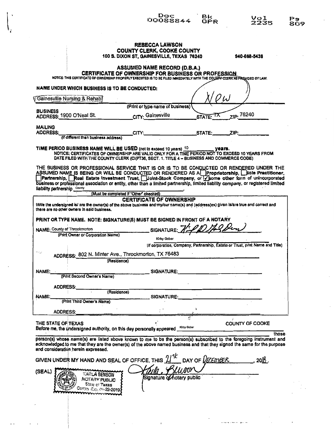| <b>REBECCA LAWSON</b><br>COUNTY CLERK, COOKE COUNTY<br>100 S. DIXON ST, GAINESVILLE, TEXAS 76240<br>940-668-5438<br><b>ASSUMED NAME RECORD (D.B.A.)</b><br>CERTIFICATE OF OWNERSHIP FOR BUSINESS OR PROFESSION<br>NOTICE: THIS CERTIFICATE OF OWNERSHIP PROPERLY EXECUTED IS TO BE FILED IMMEDIATELY WITH THE COUNTY-CLERK AS PROVIDED BY LAW.<br>NAME UNDER WHICH BUSINESS IS TO BE CONDUCTED:<br>Gainesville Nursing & Rehabi<br>(Print or type name of business)<br><b>BUSINESS</b><br>Zip. 76240<br>CITY: Gainesville<br>ADDRESS: 1900 O'Neal St.<br>STATE: TX<br><b>MAILING</b><br><b>ADDRESS:</b><br>CITY:<br>STATE:<br>ZIP:<br>(If different than business address)<br>TIME PERIOD BUSINESS NAME WILL BE USED (not to exceed 10 years) 10 years.<br>NOTICE: CERTIFICATES OF OWNERSHIP ARE VALID ONLY FOR A TIME PERIOD NOT TO EXCEED 10 YEARS FROM<br>DATE FILED WITH THE COUNTY CLERK (CI(PT36, SECT. 1. TITLE 4 - BUSINESS AND COMMERCE CODE)<br>THE BUSINESS OR PROFESSIONAL SERVICE THAT IS OR IS TO BE CONDUCTED OR RENDERED UNDER THE<br>ASSUMED NAME IS BEING OR WILL BE CONDUCTED OR RENDERED AS A Proprietorship, Sole Practitioner,<br>Partnership, Real Estate Investment Trust, Joint-Stock Company, or y some other form of unincorporated<br>business or professional association or entity, other than a limited partnership, limited liability company, or registered limited<br>liability partnership County<br>(Must be completed if "Other" checked)<br><b>CERTIFICATE OF OWNERSHIP</b><br>IAVe the undersigned is/ are the owner(s) of the above business and my/our name(s) and (address(es) given is/are true and correct and<br>there are no other owners in said business.<br>PRINT OR TYPE NAME. NOTE: SIGNATURE(S) MUST BE SIGNED IN FRONT OF A NOTARY<br>OD AS Den<br>NAME: County of Throckmorton<br><b>SIGNATURE:</b><br>(Print Owner or Corporation Name)<br>Kirby Gober<br>(if corporation, Company, Partnership, Estate or Trust, orint Name and Title)<br>ma<br>ADDRESS: 802 N. Minter Ave., Throckmorton, TX 76483<br>(Residence)<br>NAME:<br>SIGNATURE:<br>(Print Second Owner's Name)<br><b>ADDRESS:</b><br>(Residence)<br>NAME:<br>SIGNATURE:<br>(Print Third Owner's Name) |
|-------------------------------------------------------------------------------------------------------------------------------------------------------------------------------------------------------------------------------------------------------------------------------------------------------------------------------------------------------------------------------------------------------------------------------------------------------------------------------------------------------------------------------------------------------------------------------------------------------------------------------------------------------------------------------------------------------------------------------------------------------------------------------------------------------------------------------------------------------------------------------------------------------------------------------------------------------------------------------------------------------------------------------------------------------------------------------------------------------------------------------------------------------------------------------------------------------------------------------------------------------------------------------------------------------------------------------------------------------------------------------------------------------------------------------------------------------------------------------------------------------------------------------------------------------------------------------------------------------------------------------------------------------------------------------------------------------------------------------------------------------------------------------------------------------------------------------------------------------------------------------------------------------------------------------------------------------------------------------------------------------------------------------------------------------------------------------------------------------------------------------------------------------------------------------------------------------------------------|
|                                                                                                                                                                                                                                                                                                                                                                                                                                                                                                                                                                                                                                                                                                                                                                                                                                                                                                                                                                                                                                                                                                                                                                                                                                                                                                                                                                                                                                                                                                                                                                                                                                                                                                                                                                                                                                                                                                                                                                                                                                                                                                                                                                                                                         |
|                                                                                                                                                                                                                                                                                                                                                                                                                                                                                                                                                                                                                                                                                                                                                                                                                                                                                                                                                                                                                                                                                                                                                                                                                                                                                                                                                                                                                                                                                                                                                                                                                                                                                                                                                                                                                                                                                                                                                                                                                                                                                                                                                                                                                         |
|                                                                                                                                                                                                                                                                                                                                                                                                                                                                                                                                                                                                                                                                                                                                                                                                                                                                                                                                                                                                                                                                                                                                                                                                                                                                                                                                                                                                                                                                                                                                                                                                                                                                                                                                                                                                                                                                                                                                                                                                                                                                                                                                                                                                                         |
|                                                                                                                                                                                                                                                                                                                                                                                                                                                                                                                                                                                                                                                                                                                                                                                                                                                                                                                                                                                                                                                                                                                                                                                                                                                                                                                                                                                                                                                                                                                                                                                                                                                                                                                                                                                                                                                                                                                                                                                                                                                                                                                                                                                                                         |
|                                                                                                                                                                                                                                                                                                                                                                                                                                                                                                                                                                                                                                                                                                                                                                                                                                                                                                                                                                                                                                                                                                                                                                                                                                                                                                                                                                                                                                                                                                                                                                                                                                                                                                                                                                                                                                                                                                                                                                                                                                                                                                                                                                                                                         |
|                                                                                                                                                                                                                                                                                                                                                                                                                                                                                                                                                                                                                                                                                                                                                                                                                                                                                                                                                                                                                                                                                                                                                                                                                                                                                                                                                                                                                                                                                                                                                                                                                                                                                                                                                                                                                                                                                                                                                                                                                                                                                                                                                                                                                         |
|                                                                                                                                                                                                                                                                                                                                                                                                                                                                                                                                                                                                                                                                                                                                                                                                                                                                                                                                                                                                                                                                                                                                                                                                                                                                                                                                                                                                                                                                                                                                                                                                                                                                                                                                                                                                                                                                                                                                                                                                                                                                                                                                                                                                                         |
|                                                                                                                                                                                                                                                                                                                                                                                                                                                                                                                                                                                                                                                                                                                                                                                                                                                                                                                                                                                                                                                                                                                                                                                                                                                                                                                                                                                                                                                                                                                                                                                                                                                                                                                                                                                                                                                                                                                                                                                                                                                                                                                                                                                                                         |
|                                                                                                                                                                                                                                                                                                                                                                                                                                                                                                                                                                                                                                                                                                                                                                                                                                                                                                                                                                                                                                                                                                                                                                                                                                                                                                                                                                                                                                                                                                                                                                                                                                                                                                                                                                                                                                                                                                                                                                                                                                                                                                                                                                                                                         |
|                                                                                                                                                                                                                                                                                                                                                                                                                                                                                                                                                                                                                                                                                                                                                                                                                                                                                                                                                                                                                                                                                                                                                                                                                                                                                                                                                                                                                                                                                                                                                                                                                                                                                                                                                                                                                                                                                                                                                                                                                                                                                                                                                                                                                         |
|                                                                                                                                                                                                                                                                                                                                                                                                                                                                                                                                                                                                                                                                                                                                                                                                                                                                                                                                                                                                                                                                                                                                                                                                                                                                                                                                                                                                                                                                                                                                                                                                                                                                                                                                                                                                                                                                                                                                                                                                                                                                                                                                                                                                                         |
|                                                                                                                                                                                                                                                                                                                                                                                                                                                                                                                                                                                                                                                                                                                                                                                                                                                                                                                                                                                                                                                                                                                                                                                                                                                                                                                                                                                                                                                                                                                                                                                                                                                                                                                                                                                                                                                                                                                                                                                                                                                                                                                                                                                                                         |
|                                                                                                                                                                                                                                                                                                                                                                                                                                                                                                                                                                                                                                                                                                                                                                                                                                                                                                                                                                                                                                                                                                                                                                                                                                                                                                                                                                                                                                                                                                                                                                                                                                                                                                                                                                                                                                                                                                                                                                                                                                                                                                                                                                                                                         |
|                                                                                                                                                                                                                                                                                                                                                                                                                                                                                                                                                                                                                                                                                                                                                                                                                                                                                                                                                                                                                                                                                                                                                                                                                                                                                                                                                                                                                                                                                                                                                                                                                                                                                                                                                                                                                                                                                                                                                                                                                                                                                                                                                                                                                         |
|                                                                                                                                                                                                                                                                                                                                                                                                                                                                                                                                                                                                                                                                                                                                                                                                                                                                                                                                                                                                                                                                                                                                                                                                                                                                                                                                                                                                                                                                                                                                                                                                                                                                                                                                                                                                                                                                                                                                                                                                                                                                                                                                                                                                                         |
|                                                                                                                                                                                                                                                                                                                                                                                                                                                                                                                                                                                                                                                                                                                                                                                                                                                                                                                                                                                                                                                                                                                                                                                                                                                                                                                                                                                                                                                                                                                                                                                                                                                                                                                                                                                                                                                                                                                                                                                                                                                                                                                                                                                                                         |
|                                                                                                                                                                                                                                                                                                                                                                                                                                                                                                                                                                                                                                                                                                                                                                                                                                                                                                                                                                                                                                                                                                                                                                                                                                                                                                                                                                                                                                                                                                                                                                                                                                                                                                                                                                                                                                                                                                                                                                                                                                                                                                                                                                                                                         |
|                                                                                                                                                                                                                                                                                                                                                                                                                                                                                                                                                                                                                                                                                                                                                                                                                                                                                                                                                                                                                                                                                                                                                                                                                                                                                                                                                                                                                                                                                                                                                                                                                                                                                                                                                                                                                                                                                                                                                                                                                                                                                                                                                                                                                         |
|                                                                                                                                                                                                                                                                                                                                                                                                                                                                                                                                                                                                                                                                                                                                                                                                                                                                                                                                                                                                                                                                                                                                                                                                                                                                                                                                                                                                                                                                                                                                                                                                                                                                                                                                                                                                                                                                                                                                                                                                                                                                                                                                                                                                                         |
|                                                                                                                                                                                                                                                                                                                                                                                                                                                                                                                                                                                                                                                                                                                                                                                                                                                                                                                                                                                                                                                                                                                                                                                                                                                                                                                                                                                                                                                                                                                                                                                                                                                                                                                                                                                                                                                                                                                                                                                                                                                                                                                                                                                                                         |
|                                                                                                                                                                                                                                                                                                                                                                                                                                                                                                                                                                                                                                                                                                                                                                                                                                                                                                                                                                                                                                                                                                                                                                                                                                                                                                                                                                                                                                                                                                                                                                                                                                                                                                                                                                                                                                                                                                                                                                                                                                                                                                                                                                                                                         |
| <b>ADDRESS:</b>                                                                                                                                                                                                                                                                                                                                                                                                                                                                                                                                                                                                                                                                                                                                                                                                                                                                                                                                                                                                                                                                                                                                                                                                                                                                                                                                                                                                                                                                                                                                                                                                                                                                                                                                                                                                                                                                                                                                                                                                                                                                                                                                                                                                         |
| THE STATE OF TEXAS<br>COUNTY OF COOKE<br>Before me, the undersigned authority, on this day personally appeared Kirby Gober                                                                                                                                                                                                                                                                                                                                                                                                                                                                                                                                                                                                                                                                                                                                                                                                                                                                                                                                                                                                                                                                                                                                                                                                                                                                                                                                                                                                                                                                                                                                                                                                                                                                                                                                                                                                                                                                                                                                                                                                                                                                                              |
| those<br>person(s) whose name(s) are listed above known to me to be the person(s) subscribed to the foregoing instrument and<br>acknowledged to me that they are the owner(s) of the above named business and that they signed the same for the purpose<br>and consideration herein expressed.                                                                                                                                                                                                                                                                                                                                                                                                                                                                                                                                                                                                                                                                                                                                                                                                                                                                                                                                                                                                                                                                                                                                                                                                                                                                                                                                                                                                                                                                                                                                                                                                                                                                                                                                                                                                                                                                                                                          |
| GIVEN UNDER MY HAND AND SEAL OF OFFICE, THIS $\mathcal{U}^{\text{st}}$ DAY OF $\ell$ CE MER<br>$.20\%$ .                                                                                                                                                                                                                                                                                                                                                                                                                                                                                                                                                                                                                                                                                                                                                                                                                                                                                                                                                                                                                                                                                                                                                                                                                                                                                                                                                                                                                                                                                                                                                                                                                                                                                                                                                                                                                                                                                                                                                                                                                                                                                                                |
| (SEAL)<br>KARLA BENSON<br>Signature of hotary public<br><b>AUTARY PUBLIC</b><br>Slate of Texas<br>com Exp. 04-22-2019                                                                                                                                                                                                                                                                                                                                                                                                                                                                                                                                                                                                                                                                                                                                                                                                                                                                                                                                                                                                                                                                                                                                                                                                                                                                                                                                                                                                                                                                                                                                                                                                                                                                                                                                                                                                                                                                                                                                                                                                                                                                                                   |
|                                                                                                                                                                                                                                                                                                                                                                                                                                                                                                                                                                                                                                                                                                                                                                                                                                                                                                                                                                                                                                                                                                                                                                                                                                                                                                                                                                                                                                                                                                                                                                                                                                                                                                                                                                                                                                                                                                                                                                                                                                                                                                                                                                                                                         |

 $\mathbf{I}_i$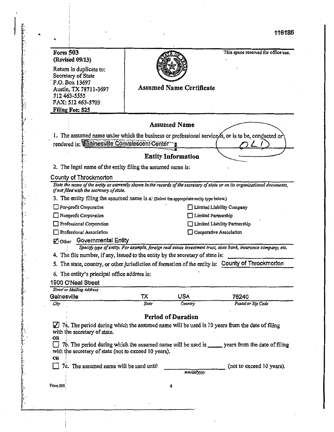.. 116186

| Form 503<br>(Revised 09/13)                                                             |       |                                 | This space reserved for office use.                                                                                          |
|-----------------------------------------------------------------------------------------|-------|---------------------------------|------------------------------------------------------------------------------------------------------------------------------|
| Return in duplicate to:                                                                 |       |                                 |                                                                                                                              |
| Secretary of State                                                                      |       |                                 |                                                                                                                              |
| P.O. Box 13697                                                                          |       |                                 |                                                                                                                              |
| Austin, TX 78711-3697                                                                   |       | <b>Assumed Name Certificate</b> |                                                                                                                              |
| 512 463-5555                                                                            |       |                                 |                                                                                                                              |
| FAX: 512 463-5709                                                                       |       |                                 |                                                                                                                              |
| Filing Fee: \$25                                                                        |       |                                 |                                                                                                                              |
|                                                                                         |       | <b>Assumed Name</b>             |                                                                                                                              |
|                                                                                         |       |                                 | 1. The assumed name under which the business or professional service/s, or is to be, conducted or                            |
| rendered is: Cainesville Convalescent Center                                            |       |                                 |                                                                                                                              |
|                                                                                         |       | <b>Entity Information</b>       |                                                                                                                              |
| 2. The legal name of the entity filing the assumed name is:                             |       |                                 |                                                                                                                              |
| County of Throckmorton                                                                  |       |                                 |                                                                                                                              |
| if not filed with the secretary of state.                                               |       |                                 | State the name of the entity as currently shown in the records of the secretary of state or on its organizational documents, |
| 3. The entity filing the assumed name is a: (Select the appropriate entity type below.) |       |                                 |                                                                                                                              |
| For-profit Corporation                                                                  |       |                                 | Limited Liability Company                                                                                                    |
| Nonprofit Corporation                                                                   |       |                                 | Limited Partnership                                                                                                          |
| Professional Corporation                                                                |       |                                 | Limited Liability Partnership                                                                                                |
| Professional Association                                                                |       |                                 | Cooperative Association                                                                                                      |
| Other Governmental Entity                                                               |       |                                 |                                                                                                                              |
|                                                                                         |       |                                 | Specify type of entity. For example, foreign real estate investment trust, state bank, insurance company, etc.               |
| 4. The file number, if any, issued to the entity by the secretary of state is:          |       |                                 |                                                                                                                              |
|                                                                                         |       |                                 | 5. The state, country, or other jurisdiction of formation of the entity is: County of Throckmorton                           |
| 6. The entity's principal office address is:                                            |       |                                 |                                                                                                                              |
| 1900 O'Neal Street                                                                      |       |                                 |                                                                                                                              |
| <b>Street or Mailing Address</b>                                                        |       |                                 |                                                                                                                              |
| Gainesville                                                                             | тх    | USA                             | 76240                                                                                                                        |
| City                                                                                    | State | Country                         | Postal or Zip Code                                                                                                           |
|                                                                                         |       | <b>Period of Duration</b>       |                                                                                                                              |
|                                                                                         |       |                                 |                                                                                                                              |
| M<br>with the secretary of state.                                                       |       |                                 | 7a. The period during which the assumed name will be used is 10 years from the date of filing                                |
| <b>OR</b>                                                                               |       |                                 | 7b. The period during which the assumed name will be used is ______ years from the date of filing                            |
| with the secretary of state (not to exceed 10 years).<br><b>OR</b>                      |       |                                 |                                                                                                                              |
| 7c. The assumed name will be used until<br>$\mathbf{I}$                                 |       |                                 | (not to exceed 10 years).                                                                                                    |
|                                                                                         |       | mm/dd/vvvv                      |                                                                                                                              |
| Form 503                                                                                |       | 4                               |                                                                                                                              |
|                                                                                         |       |                                 |                                                                                                                              |

 $\int_{\mathbb{R}^2}$ <sup>11</sup>f.  $\vdots$ 

linger<br>Linger<br>Linger

 $\ddot{\phantom{}}$ 

la seria de la provincia de la provincia de la provincia de la provincia de la provincia de la provincia de la<br>Indicada de la provincia de la provincia de la provincia de la provincia de la provincia de la provincia de la ". .

.

L r

~/ f. i· ~·. *i-*  $\mathbf{r}$  . f . .<br>.<br>.<br>. f.

.• I ';•.

ļ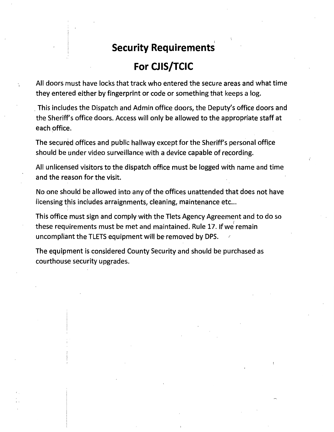# **Security Requirements**

# **For CJ IS/TCIC**

All doors must have locks that track who entered the secure areas and what time they entered either by fingerprint or code or something that keeps a log.

. This includes the Dispatch and Admin office doors, the Deputy's office doors and the Sheriff's office doors. Access will only be allowed to the appropriate staff at each office.

The secured offices and public hallway except for the Sheriff's personal office should be under video surveillance with a device capable of recording.

All unlicensed visitors to the dispatch office must be logged with name and time and the reason for the visit.

No one should be allowed into any of the offices unattended that does not have licensing this includes arraignments, cleaning, maintenance etc...

This office must sign and comply with the Tlets Agency Agreement and to do so these requirements must be met and maintained. Rule 17. If we remain uncompliant the TLETS equipment will be removed by DPS. *r*  $\epsilon$ 

The equipment is considered County Security and should be purchased as courthouse security upgrades.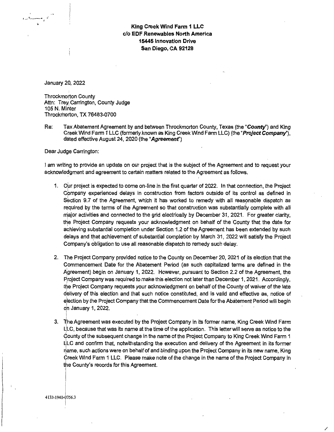### King Creek Wind Farm 1 LLC c/o EDF Renewables North America 15445 Innovation Drive San Diego, CA 92128

January 20, 2022

,\_-:a~--· .,.:;

**Throckmorton County** Attn: Trey Carrington, County Judge 105 N. Minter Throckmorton, TX 76483-0700

Re: Tax Abatement Agreement by and between Throckmorton County, Texas (the "County") and King Creek Wind Farm 1 LLC (formerly known as King Creek Wind Farm LLC) (the "Project Company"), dated effective August 24, 2020 (the "Agreement")

Dear Judge Carrington:

I am writing to provide an update on our project that is the subject of the Agreement and to request your acknowledgment and agreement to certain matters related to the Agreement as follows.

- 1. Our project is expected to come on-line in the first quarter of 2022. In that connection, the Project Company experienced delays in construction from factors outside of its control as defined in Section 9.7 of the Agreement, which it has worked to remedy with all reasonable dispatch as required by the terms of the Agreement so that construction was substantially complete with all major activities and connected to the grid electrically by December 31, 2021. For greater clarity, the Project Company requests your acknowledgment on behalf of the County that the date for achieving substantial completion under Section 1.2 of the Agreement has been extended by such delays and that achievement of substantial completion by March 31, 2022 will satisfy the Project Company's obligation to use all reasonable dispatch to remedy such delay.
- 2. The Project Company provided notice to the County on December 20, 2021 of its election that the Commencement Date for the Abatement Period (as such capitalized terms are defined in the Agreement) begin on January 1, 2022. However, pursuant to Section 2.2 of the Agreement, the Project Company was required to make this election not later than December 1, 2021. Accordingly, the Project Company requests your acknowledgment on behalf of the County of waiver of the late delivery of this election and that such notice constituted, and· is valid and effective as, notice of election by the Project Company that the Commencement Date for the Abatement Period will begin on January 1, 2022.
- 3.  $\;\;\;\;\;$  The Agreement was executed by the Project Company in its former name, King Creek Wind Farm JLc, because that was its name at the time of the application. This letter will serve as notice to the I Gounty of the subsequent change in the name of the Project Company to King Creek Wind Farm 1 LlLC and confirm that, notwithstanding the execution and delivery of the Agreement in its former riame, such actions were on behalf of and binding upon the Project Company in its new name. King Greek Wind Farm 1 LLC. Please make note of the change in the name of the Project Company in I the County's records for this Agreement.

4133-1940-0756.3 I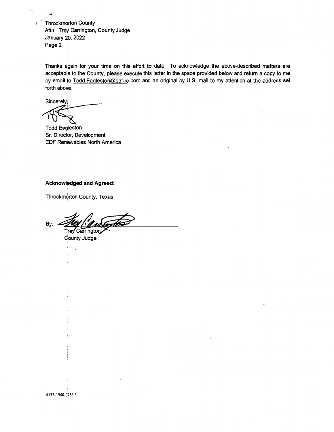$\epsilon$  Throckmorton County Attn: Trey Carrington, County Judge January 20, 2022 Page 2

Thanks again for your time on this effort to date. To acknowledge the above-described matters are acceptable to the County, please execute this letter in the space provided below and return a copy to me by email to Todd.Eagleston@edf-re.com and an original by U.S. mail to my attention at the address set forth above.

**Sincerely** 

-~

Todd Eagleston Sr. Director, Development EDF Renewables North America

#### Acknowledged and Agreed:

Throckmorton County, Texas

By: 214/ Carrington

County Judge

4<br>133-1940-0756.3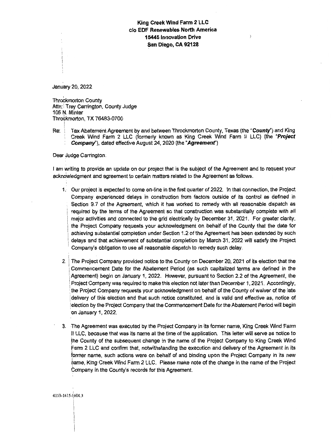### **King Creek Wind Farm 2 LLC**  c/o **EDF Renewables North America 15445 Innovation Drive San Diego, CA 92128**

 $\mathcal{L}$ 

January 20, 2022

**Throckmorton County** Attn: Trey Carrington, County Judge 105 N. Minter Thro6kmorton, TX 76483-0700

I Re: Tax Abatement Agreement by and between Throckmorton County, Texas (the "County") and King : Creek Wind Farm 2 LLC (formerly known as King Creek Wind Farm II LLC) (the **"Project**  : **Company"),** dated effective August 24, 2020 (the **"Agreemenf')** 

Dear Judge Carrington:

I am writing to provide an update on our project that is the subject of the Agreement and to request your acknowledgment and agreement to certain matters related to the Agreement as follows.

- 1. Our project is expected to come on-line in the first quarter of 2022. In that connection, the Project Company experienced delays in construction from factors outside of its control as defined in Section 9.7 of the Agreement, which it has worked to remedy with all reasonable dispatch as required by the terms of the Agreement so that construction was substantially complete with all major activities and connected to the grid electrically by December 31, 2021. For greater clarity, the Project Company requests your acknowledgment on behalf of the County that the date for achieving substantial completion under Section 1.2 of the Agreement has been extended by such delays and that achievement of substantial completion by March 31, 2022 will satisfy the Project Company's obligation to use all reasonable dispatch to remedy such delay.
- 2. The Project Company provided notice to the County on December 20, 2021 of its election that the Commencement Date for the Abatement Period (as such capitalized terms are defined in the Agreement) begin on January 1, 2022. However, pursuant to Section 2.2 of the Agreement, the Project Company was required to make this election not later than December 1, 2021. Accordingly, the Project Company requests your acknowledgment on behalf of the County of waiver of the late delivery of this election and that such notice constituted, and is valid and effective as, notice of election by the Project Company that the Commencement Date for the Abatement Period will begin on January 1, 2022.
- 3. The Agreement was executed by the Project Company in its former name, King Creek Wind Farm II LLC, because that was its name at the time of the application. This letter will serve as notice to the County of the subsequent change in the name of the Project Company to King Creek Wind Farm 2 LLC and confirm that, notwithstanding the execution and delivery of the Agreement in its former name, such actions were on behalf of and binding upon the Project Company in its new ~ame, King Creek Wind Farm 2 LLC. Please make note of the change in the name of the Project Company in the County's records for this Agreement.

I 4153-1615-1,604.3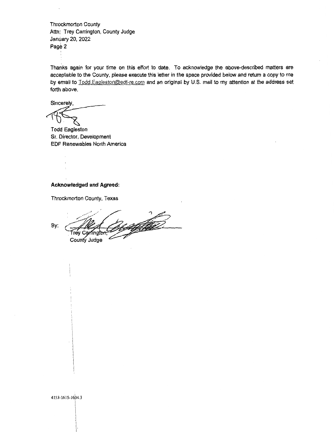Throckmorton County Attn: Trey Carrington, County Judge January 20, 2022  $Page 2$ 

Thanks again for your time on this effort to date. To acknowledge the above-described matters are acceptable to the County, please execute this letter in the space provided below and return a copy to me by email to Todd.Eagleston@edf-re.com and an original by U.S. mail to my attention at the address set forth above.

Sincerely,

Todd Eagleston Sr. Director, Development EDF Renewables North America

#### **Acknowledged and Agreed:**

Throckmorton County, Texas

By: Frey Carf ingfon County Judge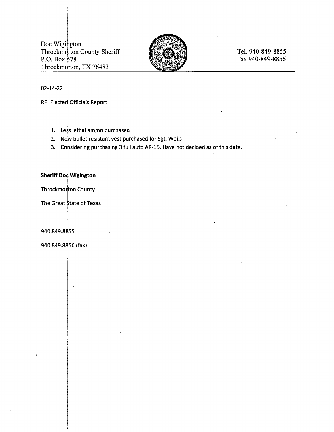Doc Wigington Throckmorton County Sheriff P.O. Box  $578$ Throckmorton, TX 76483

i I



## Tel. 940-849-8855 Fax 940-849-8856

#### 02-14-22

RE: Elected Officials Report

- 1. Less lethal ammo purchased
- 2. New bullet resistant vest purchased for Sgt. Wells
- 3. Considering purchasing 3 full auto AR-15. Have not decided as of this date.

#### **Sheriff Doc Wigington**  I

Throckmorton County

The Great State of Texas

940.849.8855

940.849.8856 (fax)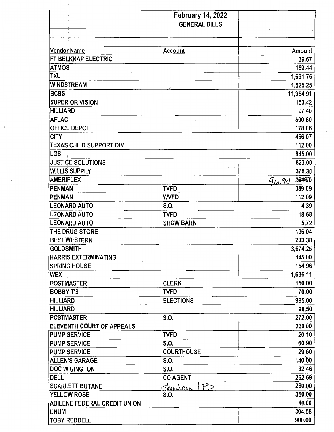|                                     | <b>February 14, 2022</b> |                 |
|-------------------------------------|--------------------------|-----------------|
|                                     | <b>GENERAL BILLS</b>     |                 |
|                                     |                          |                 |
|                                     |                          |                 |
| <b>Vendor Name</b>                  | Account                  | Amount          |
| FT BELKNAP ELECTRIC                 |                          | 39.67           |
| ATMOS                               |                          | 169.44          |
| <b>TXU</b>                          |                          | 1,691.76        |
| <b>WINDSTREAM</b>                   |                          | 1,525.25        |
| <b>BCBS</b>                         |                          | 11,954.91       |
| <b>SUPERIOR VISION</b>              |                          | 150.42          |
| <b>HILLIARD</b>                     |                          | 97.40           |
| <b>AFLAC</b>                        |                          | 600.60          |
| OFFICE DEPOT<br>$\checkmark$        |                          | 178.06          |
| <b>CITY</b>                         |                          | 456.07          |
| TEXAS CHILD SUPPORT DIV             |                          | 112.00          |
| LGS                                 |                          | 845.00          |
| <b>JUSTICE SOLUTIONS</b>            |                          | 623.00          |
| <b>WILLIS SUPPLY</b>                |                          | 376.30          |
| <b>AMERIFLEX</b>                    |                          | 284.50<br>96.90 |
| <b>PENMAN</b>                       | <b>TVFD</b>              | 389.09          |
| <b>PENMAN</b>                       | <b>WVFD</b>              | 112.09          |
| <b>LEONARD AUTO</b>                 | S.O.                     | 4.39            |
| <b>LEONARD AUTO</b>                 | <b>TVFD</b>              | 18.68           |
| <b>LEONARD AUTO</b>                 | <b>SHOW BARN</b>         | 5.72            |
| THE DRUG STORE                      |                          | 136.04          |
| <b>BEST WESTERN</b>                 |                          | 203.38          |
| <b>GOLDSMITH</b>                    |                          | 3,674.25        |
| <b>HARRIS EXTERMINATING</b>         |                          | 145.00          |
| <b>SPRING HOUSE</b>                 |                          | 154.96          |
| WEX                                 |                          | 1,636.11        |
| POSTMASTER                          | <b>CLERK</b>             | 150.00          |
| <b>BOBBY T'S</b>                    | <b>TVFD</b>              | 70.00           |
| <b>HILLIARD</b>                     | <b>ELECTIONS</b>         | 995.00          |
| <b>HILLIARD</b>                     |                          | 98.50           |
| <b>POSTMASTER</b>                   | S.O.                     | 272.00          |
| ELEVENTH COURT OF APPEALS           |                          | 230.00          |
| <b>PUMP SERVICE</b>                 | <b>TVFD</b>              | 20.10           |
| <b>PUMP SERVICE</b>                 | S.O.                     | 60.90           |
| <b>PUMP SERVICE</b>                 | <b>COURTHOUSE</b>        | 29.60           |
| <b>ALLEN'S GARAGE</b>               | S.O.                     | 140.00          |
| <b>DOC WIGINGTON</b>                | S.O.                     | 32.46           |
| <b>DELL</b>                         | <b>CO AGENT</b>          | 262.69          |
| <b>SCARLETT BUTANE</b>              | FD                       | 280.00          |
| YELLOW ROSE                         | Shoutour<br>S.O.         | 350.00          |
| <b>ABILENE FEDERAL CREDIT UNION</b> |                          | 40.00           |
| UNUM                                |                          | 304.58          |
| <b>TOBY REDDELL</b>                 |                          | 900.00          |
|                                     |                          |                 |

 $\overline{\phantom{a}}$ 

the contract of the contract of the contract of the contract of the contract of the contract of the contract of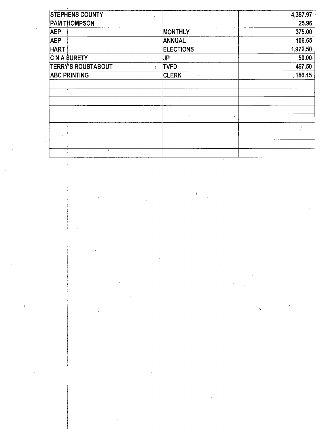| <b>STEPHENS COUNTY</b>    |                        | 4,387.97  |
|---------------------------|------------------------|-----------|
| <b>PAM THOMPSON</b>       |                        | 25.96     |
| <b>AEP</b>                | <b>MONTHLY</b>         | 375.00    |
| <b>AEP</b>                | <b>ANNUAL</b>          | 106.65    |
| <b>HART</b>               | <b>ELECTIONS</b>       | 1,972.50  |
| <b>C N A SURETY</b>       | JP                     | $50.00 -$ |
| <b>TERRY'S ROUSTABOUT</b> | <b>TVFD</b>            | 467.50    |
| <b>ABC PRINTING</b>       | <b>CLERK</b><br>$\sim$ | 186.15    |
|                           |                        |           |
|                           |                        |           |
| $\sim$                    |                        |           |
|                           |                        |           |
|                           | $\sim$                 |           |
| у.                        |                        |           |
| <b>F</b>                  | $\sim$                 |           |
|                           |                        | $\Lambda$ |
|                           |                        |           |

 $\frac{1}{2} \sum_{i=1}^{n} \frac{1}{2} \left( \frac{1}{2} \right)^{i} \left( \frac{1}{2} \right)^{i}$ 

 $\bar{t}$ 

 $\frac{1}{2} \frac{1}{2} \frac{1}{2} \frac{1}{2} \frac{1}{2}$ 

 $\begin{aligned} \frac{1}{\sqrt{2}}\left( \frac{1}{\sqrt{2}}\right) \frac{1}{\sqrt{2}}\left( \frac{1}{\sqrt{2}}\right) \frac{1}{\sqrt{2}}\left( \frac{1}{\sqrt{2}}\right) \frac{1}{\sqrt{2}}\left( \frac{1}{\sqrt{2}}\right) \frac{1}{\sqrt{2}}\left( \frac{1}{\sqrt{2}}\right) \frac{1}{\sqrt{2}}\left( \frac{1}{\sqrt{2}}\right) \frac{1}{\sqrt{2}}\left( \frac{1}{\sqrt{2}}\right) \frac{1}{\sqrt{2}}\left( \frac{1}{\sqrt{2}}\right) \frac{1}{\sqrt$ 

 $\bar{1}$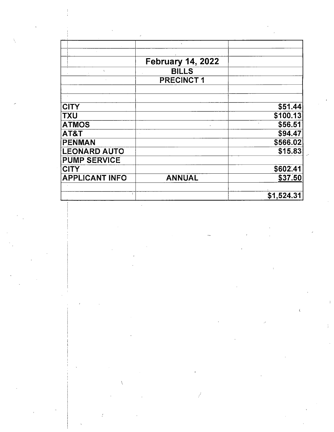|                       | <b>February 14, 2022</b> |            |
|-----------------------|--------------------------|------------|
| $\chi$                | <b>BILLS</b>             |            |
|                       | <b>PRECINCT1</b>         |            |
|                       |                          |            |
|                       |                          |            |
| <b>CITY</b>           |                          | \$51.44]   |
| <b>TXU</b>            |                          | \$100.13   |
| <b>ATMOS</b>          |                          | \$56.51    |
| AT&T                  |                          | \$94.47    |
| <b>PENMAN</b>         |                          | \$566.02   |
| <b>LEONARD AUTO</b>   |                          | \$15.83    |
| <b>PUMP SERVICE</b>   |                          |            |
| <b>CITY</b>           |                          | \$602.41   |
| <b>APPLICANT INFO</b> | <b>ANNUAL</b>            | \$37.50    |
|                       |                          |            |
|                       |                          | \$1,524.31 |
|                       |                          |            |
|                       |                          |            |
|                       |                          |            |
|                       |                          |            |
|                       |                          |            |
|                       |                          |            |
|                       |                          |            |
|                       |                          |            |
|                       |                          |            |
|                       |                          |            |
|                       |                          |            |
|                       |                          |            |
|                       |                          | $\langle$  |
|                       |                          |            |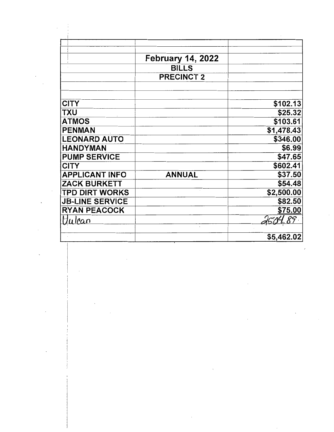|                        | <b>February 14, 2022</b> |            |
|------------------------|--------------------------|------------|
|                        | <b>BILLS</b>             |            |
|                        | <b>PRECINCT 2</b>        |            |
| <b>CITY</b>            |                          | \$102.13   |
| <b>TXU</b>             |                          | \$25.32    |
| <b>ATMOS</b>           |                          | \$103.61   |
| <b>PENMAN</b>          |                          | \$1,478.43 |
| <b>LEONARD AUTO</b>    |                          | \$346.00   |
| <b>HANDYMAN</b>        |                          | \$6.99     |
| <b>PUMP SERVICE</b>    |                          | \$47.65    |
| <b>CITY</b>            |                          | \$602.41   |
| <b>APPLICANT INFO</b>  | <b>ANNUAL</b>            | \$37.50    |
| <b>ZACK BURKETT</b>    |                          | \$54.48    |
| <b>TPD DIRT WORKS</b>  |                          | \$2,500.00 |
| <b>JB-LINE SERVICE</b> |                          | \$82.50    |
| <b>RYAN PEACOCK</b>    |                          | \$75.00    |
| ulpan                  |                          | 89         |

 $\sim 10^{-1}$ 

 $\label{eq:2} \frac{d\mathbf{r}}{d\mathbf{r}} = \frac{1}{2} \mathbf{r} \mathbf{r} \mathbf{r} \mathbf{r}$ 

 $\sim$   $\sim$ 

 $\mathcal{L}^{\text{max}}$ 

 $\ddot{\phantom{a}}$ 

 $\mathbb{R}^2$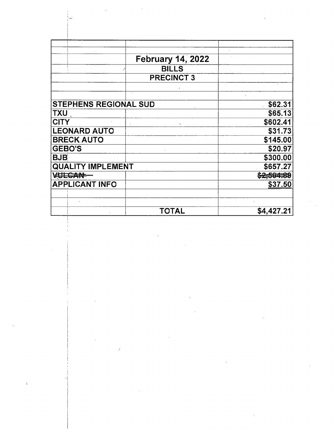|                              | <b>February 14, 2022</b> |            |
|------------------------------|--------------------------|------------|
|                              | <b>BILLS</b>             |            |
|                              | <b>PRECINCT 3</b>        |            |
|                              |                          |            |
|                              |                          |            |
| <b>STEPHENS REGIONAL SUD</b> |                          | \$62.31    |
| <b>TXU</b>                   |                          | \$65.13    |
| <b>CITY</b>                  |                          | \$602.41   |
| <b>LEONARD AUTO</b>          |                          | \$31.73    |
| <b>BRECK AUTO</b>            |                          | \$145.00   |
| <b>GEBO'S</b>                |                          | \$20.97    |
| <b>BJB</b>                   |                          | \$300.00   |
| <b>QUALITY IMPLEMENT</b>     |                          | \$657.27   |
| <b>ARECANE-</b>              |                          | \$2,504,89 |
| <b>APPLICANT INFO</b>        |                          | \$37.50    |
|                              |                          |            |
|                              |                          |            |
|                              | TOTAL                    | \$4,427.21 |

 $\bar{V}$ 

 $\mathcal{L}^{\text{max}}_{\text{max}}$  and  $\mathcal{L}^{\text{max}}_{\text{max}}$  and  $\mathcal{L}^{\text{max}}_{\text{max}}$ 

 $\sim 10^{11}$ 

 $\mathcal{A}^{\mathcal{A}}$ 

 $T_{\rm{max}}$ 

 $\hat{\mathcal{A}}$ 

 $\bar{V}$ 

 $\langle \hat{\mathbf{v}} \rangle$ 

 $\hat{\boldsymbol{\beta}}$